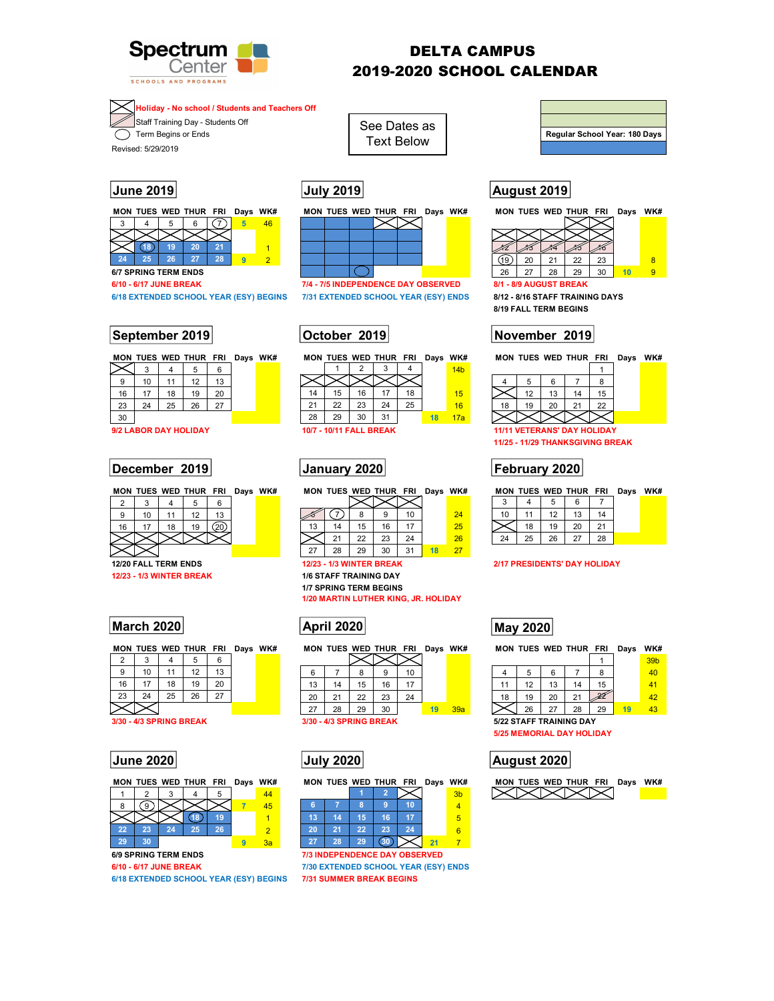

3 4 5 6 7 **5** 46

3 4 5 6 9 | 10 | 11 | 12 | 13 | **12 | 13 | 12 | 13 | 12 | 13 | 12 | 13 | 12 | 13 | 12 | 13 | 1** 

30 **20** 14a

16 17 18 19 20 23 24 25 26 27

**12/23 - 1/3 WINTER BREAK** 

**18 19 20 21** 1 **24 25 26 27 28 9** 2

# DELTA CAMPUS 2019-2020 SCHOOL CALENDAR

**Holiday - No school / Students and Teachers Off 4**

Staff Training Day - Students Off

 $\overline{\mathcal{F}}$  Term Begins or Ends

**6/7 SPRING TERM ENDS** 

Revised: 5/29/2019

**17**

**2**



See Dates as Text Below

**15 16 17 18 19** 5 **22 23 24 25 26** 6 **29 30 31 21** 7 **6/10 - 6/17 JUNE BREAK 7/4 - 7/5 INDEPENDENCE DAY OBSERVED** 

**6/18 EXTENDED SCHOOL YEAR (ESY) BEGINS 7/31 EXTENDED SCHOOL YEAR (ESY) ENDS 8/12 - 8/16 STAFF TRAINING DAYS** 

|    |    |    | 0  |    |    | 14 <sub>b</sub> |
|----|----|----|----|----|----|-----------------|
|    |    |    |    |    |    |                 |
| 14 | 15 | 16 |    | 18 |    | 15              |
| 21 | 22 | 23 | 24 | 25 |    | 16              |
| 28 | 29 | 30 |    |    | 18 | 17a             |

| -  | -      |     | -              | . .             |  |                      |          |                       |                |        |           |  |
|----|--------|-----|----------------|-----------------|--|----------------------|----------|-----------------------|----------------|--------|-----------|--|
| 9  | $\sim$ |     | $\overline{a}$ | $\overline{10}$ |  |                      |          |                       |                | ٠U     | 24        |  |
| 16 | --     | ה ו | 19             |                 |  | $\overline{ }$<br>IJ |          | $\overline{ }$<br>1 O | $\overline{ }$ | --     | nr.<br>25 |  |
|    |        |     |                |                 |  |                      |          | $\sim$<br>ے           | $\sim$<br>້    | $\sim$ | 26        |  |
|    |        |     |                |                 |  | , i                  | no<br>∠∪ | 29                    | $\sim$<br>vu   |        | - 1       |  |

**R. HOLIDAY** 

**March 2020 May 2020 May 2020** 

| $\overline{2}$ | r                            |    | h  | $\sim$         |  |  |    |                         |    |    |    |    |     |      |
|----------------|------------------------------|----|----|----------------|--|--|----|-------------------------|----|----|----|----|-----|------|
| 9              | 10                           |    | 12 | 13             |  |  | 6  |                         | 8  |    | 10 |    |     | 4    |
| 16             |                              | 18 | 19 | 20             |  |  | 13 | 14                      | 15 | 16 | 17 |    |     |      |
| 23             | 24                           | 25 | 26 | $\sim$<br>ا ہے |  |  | 20 | 21                      | 22 | 23 | 24 |    |     | 18   |
|                |                              |    |    |                |  |  | 27 | 28                      | 29 | 30 |    | 19 | 39a |      |
|                | <b>80 - 4/3 SPRING BREAK</b> |    |    |                |  |  |    | 3/30 - 4/3 SPRING BREAK |    |    |    |    |     | 5/22 |

| я  |    |    |    | ю  |    |  |
|----|----|----|----|----|----|--|
| в  | 14 | 15 | 16 |    |    |  |
| 20 | 24 | 22 | 23 | 24 |    |  |
| 27 | 28 | 29 | งบ |    | 21 |  |

**6/10 - 6/17 JUNE BREAK 7/30 EXTENDED SCHOOL YEAR (ESY) ENDS** 

# **Regular School Year: 180 Days**

# **June 2019 July 2019 August 2019**

|    |                        |    | MON TUES WED THUR FRI |    | Days | WK# |  |  |  |  |
|----|------------------------|----|-----------------------|----|------|-----|--|--|--|--|
|    |                        |    |                       |    |      |     |  |  |  |  |
|    |                        |    |                       |    |      |     |  |  |  |  |
|    |                        |    |                       |    |      |     |  |  |  |  |
|    | 20                     | 21 | 22                    | 23 |      | 8   |  |  |  |  |
| 26 | 27                     | 28 | 29                    | 30 | 10   |     |  |  |  |  |
|    | 8/1 - 8/9 AUGUST BREAK |    |                       |    |      |     |  |  |  |  |

**8/19 FALL TERM BEGINS** 

## **September 2019 October 2019 November 2019**

**MON TUES WED THUR FRI Days WK# MON TUES WED THUR FRI Days WK# MON TUES WED THUR FRI Days WK#** 

|    | 12 | 13 | 15 |
|----|----|----|----|
| 18 | 19 | 20 | 22 |
|    |    |    |    |

**9/2 LABOR DAY HOLIDAY 10/7 - 10/11 FALL BREAK 11/11 VETERANS' DAY HOLIDAY 11/25 - 11/29 THANKSGIVING BREAK** 

# **December 2019 | January 2020 | February 2020**

|  | MON TUES WED THUR FRI Days WK# |    |  |    |        | MON TUES WED THUR FRI |    | Davs | WK# |    |    |    | MON TUES WED THUR FRI |              | Davs | WK# |  |
|--|--------------------------------|----|--|----|--------|-----------------------|----|------|-----|----|----|----|-----------------------|--------------|------|-----|--|
|  |                                |    |  |    |        |                       |    |      |     |    |    |    |                       |              |      |     |  |
|  |                                | 13 |  |    |        |                       |    |      | 24  |    |    |    |                       |              |      |     |  |
|  | 19                             | ്റ |  | 13 |        |                       |    |      | 25  |    |    | 19 | 20                    | $2^{\prime}$ |      |     |  |
|  |                                |    |  |    | $\sim$ | ົດລ<br>دے             | 24 |      | 26  | 24 | 25 | 26 | $\sim$                | 28           |      |     |  |

**12/20 FALL TERM ENDS 12/23 - 1/3 WINTER BREAK 2/17 PRESIDENTS' DAY HOLIDAY** 

**MON TUES WED THUR FRI Days WK# MON TUES WED THUR FRI Days WK# MON TUES WED THUR FRI Days WK#** 

|                         |    |    |    |    |    | 39 <sub>b</sub> |  |  |  |
|-------------------------|----|----|----|----|----|-----------------|--|--|--|
|                         | 5  | 6  |    |    |    | 40              |  |  |  |
| 11                      | 12 | 13 | 14 | 15 |    | 41              |  |  |  |
| 18                      | 19 | 20 | 21 |    |    | 42              |  |  |  |
|                         | 26 | 27 | 28 | 29 | 19 | 43              |  |  |  |
| 5/22 STAFF TRAINING DAY |    |    |    |    |    |                 |  |  |  |

**5/25 MEMORIAL DAY HOLIDAY** 



| <b>June 2020</b>        | July 2020               |           | <b>August 2020</b>             |
|-------------------------|-------------------------|-----------|--------------------------------|
|                         |                         |           | <b>5/25 MEMORIAL DAY HOLID</b> |
| 3/30 - 4/3 SPRING BREAK | 3/30 - 4/3 SPRING BREAK |           | 5/22 STAFF TRAINING DAY        |
|                         | 28<br>29<br>30          | 19<br>39a | 26<br>28                       |

|    |      |    | MON TUES WED THUR FRI Days WK# |    |    |  |
|----|------|----|--------------------------------|----|----|--|
|    |      |    |                                |    | 44 |  |
| 8  | . 9. |    |                                |    | 45 |  |
|    |      |    |                                | 19 |    |  |
| 22 | 23   | 24 | 25                             | 26 |    |  |
| 29 | 30   |    |                                |    | Зя |  |

**6/9 SPRING TERM ENDS 7/3 INDEPENDENCE DAY OBSERVED** 

**6/18 EXTENDED SCHOOL YEAR (ESY) BEGINS 7/31 SUMMER BREAK BEGINS** 

|                                 | $\sim$ 20 $\sim$ 20 $\sim$    |  |  |  |  |  |  |  |  |  |
|---------------------------------|-------------------------------|--|--|--|--|--|--|--|--|--|
| <b>12/23 - 1/3 WINTER BREAK</b> |                               |  |  |  |  |  |  |  |  |  |
|                                 | <b>1/6 STAFF TRAINING DAY</b> |  |  |  |  |  |  |  |  |  |
| <b>1/7 SPRING TERM BEGINS</b>   |                               |  |  |  |  |  |  |  |  |  |
|                                 | 1/20 MARTIN LUTHER KING, JR   |  |  |  |  |  |  |  |  |  |
|                                 |                               |  |  |  |  |  |  |  |  |  |